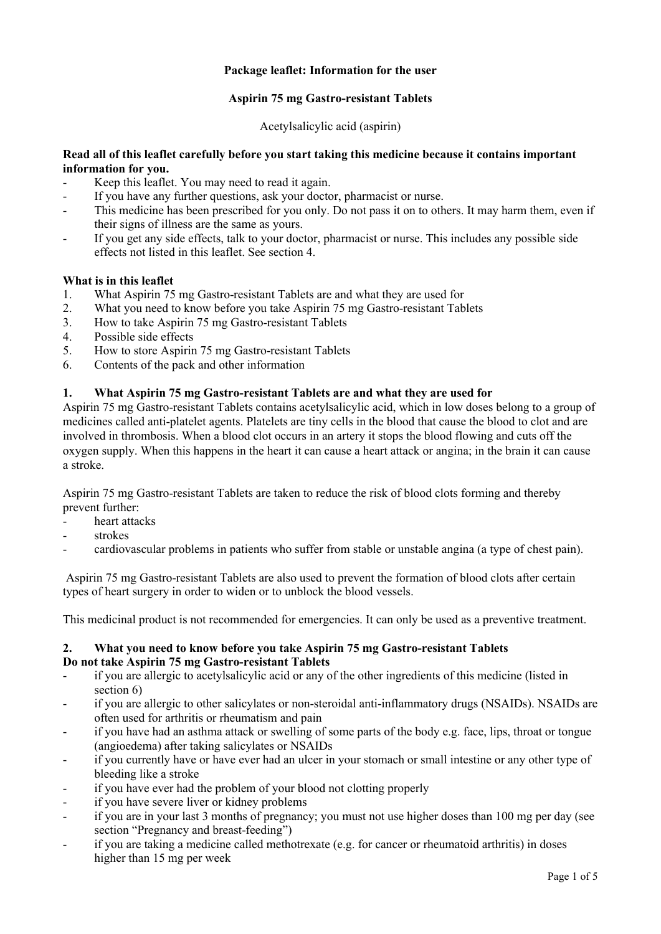## **Package leaflet: Information for the user**

### **Aspirin 75 mg Gastro-resistant Tablets**

Acetylsalicylic acid (aspirin)

#### **Read all of this leaflet carefully before you start taking this medicine because it contains important information for you.**

- Keep this leaflet. You may need to read it again.
- If you have any further questions, ask your doctor, pharmacist or nurse.
- This medicine has been prescribed for you only. Do not pass it on to others. It may harm them, even if their signs of illness are the same as yours.
- If you get any side effects, talk to your doctor, pharmacist or nurse. This includes any possible side effects not listed in this leaflet. See section 4.

#### **What is in this leaflet**

- 1. What Aspirin 75 mg Gastro-resistant Tablets are and what they are used for
- 2. What you need to know before you take Aspirin 75 mg Gastro-resistant Tablets
- 3. How to take Aspirin 75 mg Gastro-resistant Tablets
- 4. Possible side effects
- 5. How to store Aspirin 75 mg Gastro-resistant Tablets
- 6. Contents of the pack and other information

## **1. What Aspirin 75 mg Gastro-resistant Tablets are and what they are used for**

Aspirin 75 mg Gastro-resistant Tablets contains acetylsalicylic acid, which in low doses belong to a group of medicines called anti-platelet agents. Platelets are tiny cells in the blood that cause the blood to clot and are involved in thrombosis. When a blood clot occurs in an artery it stops the blood flowing and cuts off the oxygen supply. When this happens in the heart it can cause a heart attack or angina; in the brain it can cause a stroke.

Aspirin 75 mg Gastro-resistant Tablets are taken to reduce the risk of blood clots forming and thereby prevent further:

- heart attacks
- strokes
- cardiovascular problems in patients who suffer from stable or unstable angina (a type of chest pain).

Aspirin 75 mg Gastro-resistant Tablets are also used to prevent the formation of blood clots after certain types of heart surgery in order to widen or to unblock the blood vessels.

This medicinal product is not recommended for emergencies. It can only be used as a preventive treatment.

## **2. What you need to know before you take Aspirin 75 mg Gastro-resistant Tablets Do not take Aspirin 75 mg Gastro-resistant Tablets**

- if you are allergic to acetyl salicylic acid or any of the other ingredients of this medicine (listed in section 6)
- if you are allergic to other salicylates or non-steroidal anti-inflammatory drugs (NSAIDs). NSAIDs are often used for arthritis or rheumatism and pain
- if you have had an asthma attack or swelling of some parts of the body e.g. face, lips, throat or tongue (angioedema) after taking salicylates or NSAIDs
- if you currently have or have ever had an ulcer in your stomach or small intestine or any other type of bleeding like a stroke
- if you have ever had the problem of your blood not clotting properly
- if you have severe liver or kidney problems
- if you are in your last 3 months of pregnancy; you must not use higher doses than 100 mg per day (see section "Pregnancy and breast-feeding")
- if you are taking a medicine called methotrexate (e.g. for cancer or rheumatoid arthritis) in doses higher than 15 mg per week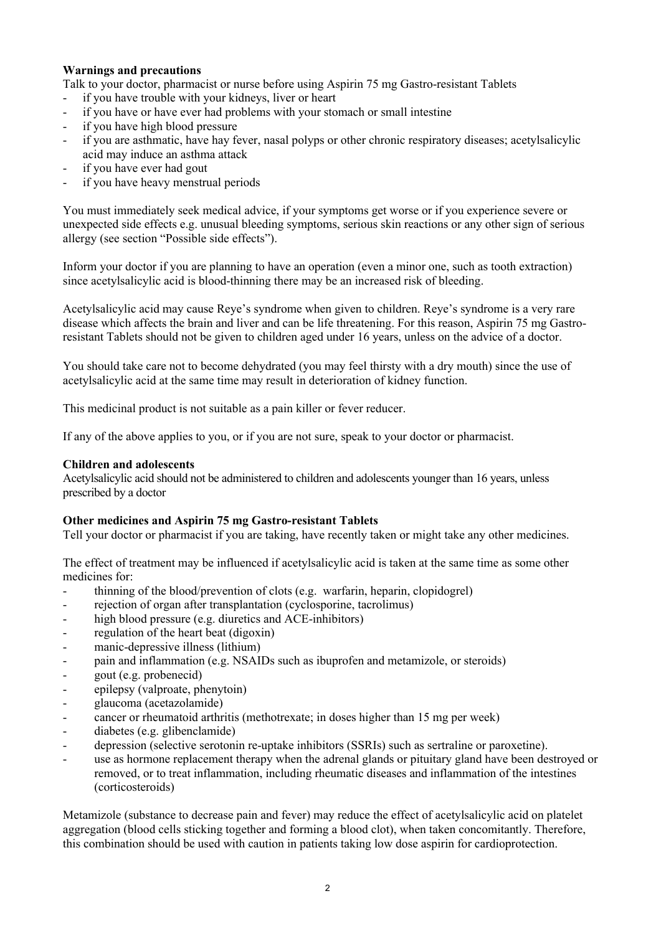## **Warnings and precautions**

Talk to your doctor, pharmacist or nurse before using Aspirin 75 mg Gastro-resistant Tablets

- if you have trouble with your kidneys, liver or heart
- if you have or have ever had problems with your stomach or small intestine
- if you have high blood pressure
- if you are asthmatic, have hay fever, nasal polyps or other chronic respiratory diseases; acetylsalicylic acid may induce an asthma attack
- if you have ever had gout
- if you have heavy menstrual periods

You must immediately seek medical advice, if your symptoms get worse or if you experience severe or unexpected side effects e.g. unusual bleeding symptoms, serious skin reactions or any other sign of serious allergy (see section "Possible side effects").

Inform your doctor if you are planning to have an operation (even a minor one, such as tooth extraction) since acetylsalicylic acid is blood-thinning there may be an increased risk of bleeding.

Acetylsalicylic acid may cause Reye's syndrome when given to children. Reye's syndrome is a very rare disease which affects the brain and liver and can be life threatening. For this reason, Aspirin 75 mg Gastroresistant Tablets should not be given to children aged under 16 years, unless on the advice of a doctor.

You should take care not to become dehydrated (you may feel thirsty with a dry mouth) since the use of acetylsalicylic acid at the same time may result in deterioration of kidney function.

This medicinal product is not suitable as a pain killer or fever reducer.

If any of the above applies to you, or if you are not sure, speak to your doctor or pharmacist.

#### **Children and adolescents**

Acetylsalicylic acid should not be administered to children and adolescents younger than 16 years, unless prescribed by a doctor

#### **Other medicines and Aspirin 75 mg Gastro-resistant Tablets**

Tell your doctor or pharmacist if you are taking, have recently taken or might take any other medicines.

The effect of treatment may be influenced if acetylsalicylic acid is taken at the same time as some other medicines for:

- thinning of the blood/prevention of clots (e.g. warfarin, heparin, clopidogrel)
- rejection of organ after transplantation (cyclosporine, tacrolimus)
- high blood pressure (e.g. diuretics and ACE-inhibitors)
- regulation of the heart beat (digoxin)
- manic-depressive illness (lithium)
- pain and inflammation (e.g. NSAIDs such as ibuprofen and metamizole, or steroids)
- gout (e.g. probenecid)
- epilepsy (valproate, phenytoin)
- glaucoma (acetazolamide)
- cancer or rheumatoid arthritis (methotrexate; in doses higher than 15 mg per week)
- diabetes (e.g. glibenclamide)
- depression (selective serotonin re-uptake inhibitors (SSRIs) such as sertraline or paroxetine).
- use as hormone replacement therapy when the adrenal glands or pituitary gland have been destroyed or removed, or to treat inflammation, including rheumatic diseases and inflammation of the intestines (corticosteroids)

Metamizole (substance to decrease pain and fever) may reduce the effect of acetylsalicylic acid on platelet aggregation (blood cells sticking together and forming a blood clot), when taken concomitantly. Therefore, this combination should be used with caution in patients taking low dose aspirin for cardioprotection.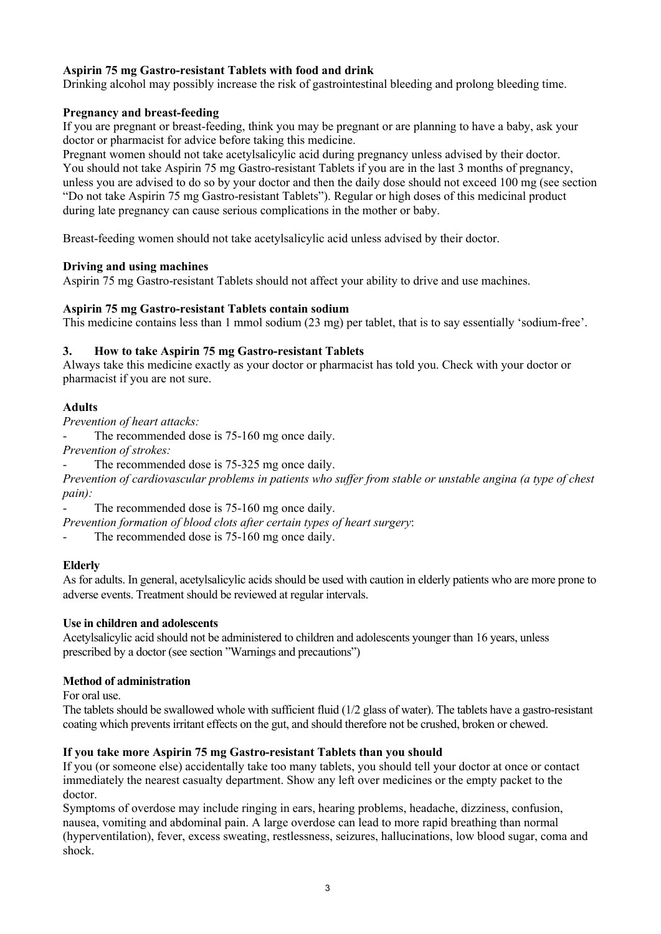# **Aspirin 75 mg Gastro-resistant Tablets with food and drink**

Drinking alcohol may possibly increase the risk of gastrointestinal bleeding and prolong bleeding time.

## **Pregnancy and breast-feeding**

If you are pregnant or breast-feeding, think you may be pregnant or are planning to have a baby, ask your doctor or pharmacist for advice before taking this medicine.

Pregnant women should not take acetylsalicylic acid during pregnancy unless advised by their doctor. You should not take Aspirin 75 mg Gastro-resistant Tablets if you are in the last 3 months of pregnancy, unless you are advised to do so by your doctor and then the daily dose should not exceed 100 mg (see section "Do not take Aspirin 75 mg Gastro-resistant Tablets"). Regular or high doses of this medicinal product during late pregnancy can cause serious complications in the mother or baby.

Breast-feeding women should not take acetylsalicylic acid unless advised by their doctor.

## **Driving and using machines**

Aspirin 75 mg Gastro-resistant Tablets should not affect your ability to drive and use machines.

## **Aspirin 75 mg Gastro-resistant Tablets contain sodium**

This medicine contains less than 1 mmol sodium (23 mg) per tablet, that is to say essentially 'sodium-free'.

## **3. How to take Aspirin 75 mg Gastro-resistant Tablets**

Always take this medicine exactly as your doctor or pharmacist has told you. Check with your doctor or pharmacist if you are not sure.

## **Adults**

*Prevention of heart attacks:*

The recommended dose is 75-160 mg once daily.

*Prevention of strokes:*

The recommended dose is 75-325 mg once daily.

*Prevention of cardiovascular problems in patients who suffer from stable or unstable angina (a type of chest pain):*

The recommended dose is 75-160 mg once daily.

*Prevention formation of blood clots after certain types of heart surgery*:

The recommended dose is 75-160 mg once daily.

# **Elderly**

As for adults. In general, acetylsalicylic acids should be used with caution in elderly patients who are more prone to adverse events. Treatment should be reviewed at regular intervals.

# **Use in children and adolescents**

Acetylsalicylic acid should not be administered to children and adolescents younger than 16 years, unless prescribed by a doctor (see section "Warnings and precautions")

#### **Method of administration**

For oral use.

The tablets should be swallowed whole with sufficient fluid (1/2 glass of water). The tablets have a gastro-resistant coating which prevents irritant effects on the gut, and should therefore not be crushed, broken or chewed.

# **If you take more Aspirin 75 mg Gastro-resistant Tablets than you should**

If you (or someone else) accidentally take too many tablets, you should tell your doctor at once or contact immediately the nearest casualty department. Show any left over medicines or the empty packet to the doctor.

Symptoms of overdose may include ringing in ears, hearing problems, headache, dizziness, confusion, nausea, vomiting and abdominal pain. A large overdose can lead to more rapid breathing than normal (hyperventilation), fever, excess sweating, restlessness, seizures, hallucinations, low blood sugar, coma and shock.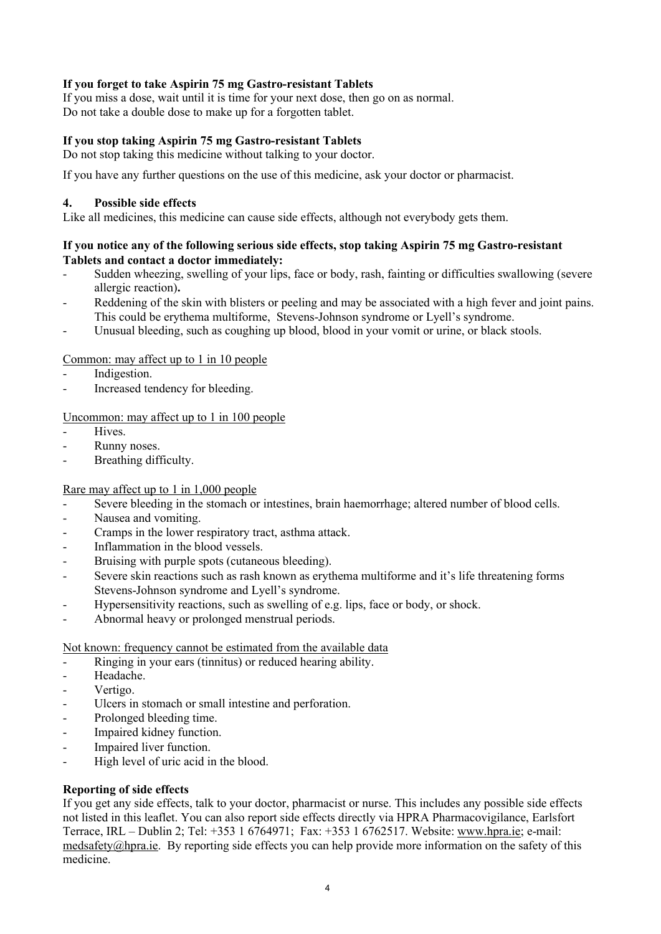# **If you forget to take Aspirin 75 mg Gastro-resistant Tablets**

If you miss a dose, wait until it is time for your next dose, then go on as normal. Do not take a double dose to make up for a forgotten tablet.

# **If you stop taking Aspirin 75 mg Gastro-resistant Tablets**

Do not stop taking this medicine without talking to your doctor.

If you have any further questions on the use of this medicine, ask your doctor or pharmacist.

## **4. Possible side effects**

Like all medicines, this medicine can cause side effects, although not everybody gets them.

## **If you notice any of the following serious side effects, stop taking Aspirin 75 mg Gastro-resistant Tablets and contact a doctor immediately:**

- Sudden wheezing, swelling of your lips, face or body, rash, fainting or difficulties swallowing (severe allergic reaction)**.**
- Reddening of the skin with blisters or peeling and may be associated with a high fever and joint pains. This could be erythema multiforme, Stevens-Johnson syndrome or Lyell's syndrome.
- Unusual bleeding, such as coughing up blood, blood in your vomit or urine, or black stools.

# Common: may affect up to 1 in 10 people

- Indigestion.
- Increased tendency for bleeding.

## Uncommon: may affect up to 1 in 100 people

- Hives.
- Runny noses.
- Breathing difficulty.

# Rare may affect up to 1 in 1,000 people

- Severe bleeding in the stomach or intestines, brain haemorrhage; altered number of blood cells.
- Nausea and vomiting.
- Cramps in the lower respiratory tract, asthma attack.
- Inflammation in the blood vessels.
- Bruising with purple spots (cutaneous bleeding).
- Severe skin reactions such as rash known as erythema multiforme and it's life threatening forms Stevens-Johnson syndrome and Lyell's syndrome.
- Hypersensitivity reactions, such as swelling of e.g. lips, face or body, or shock.
- Abnormal heavy or prolonged menstrual periods.

Not known: frequency cannot be estimated from the available data

- Ringing in your ears (tinnitus) or reduced hearing ability.
- Headache.
- Vertigo.
- Ulcers in stomach or small intestine and perforation.
- Prolonged bleeding time.
- Impaired kidney function.
- Impaired liver function.
- High level of uric acid in the blood.

# **Reporting of side effects**

If you get any side effects, talk to your doctor, pharmacist or nurse. This includes any possible side effects not listed in this leaflet. You can also report side effects directly via HPRA Pharmacovigilance, Earlsfort Terrace, IRL – Dublin 2; Tel: +353 1 6764971; Fax: +353 1 6762517. Website: www.hpra.ie; e-mail: medsafety@hpra.ie. By reporting side effects you can help provide more information on the safety of this medicine.